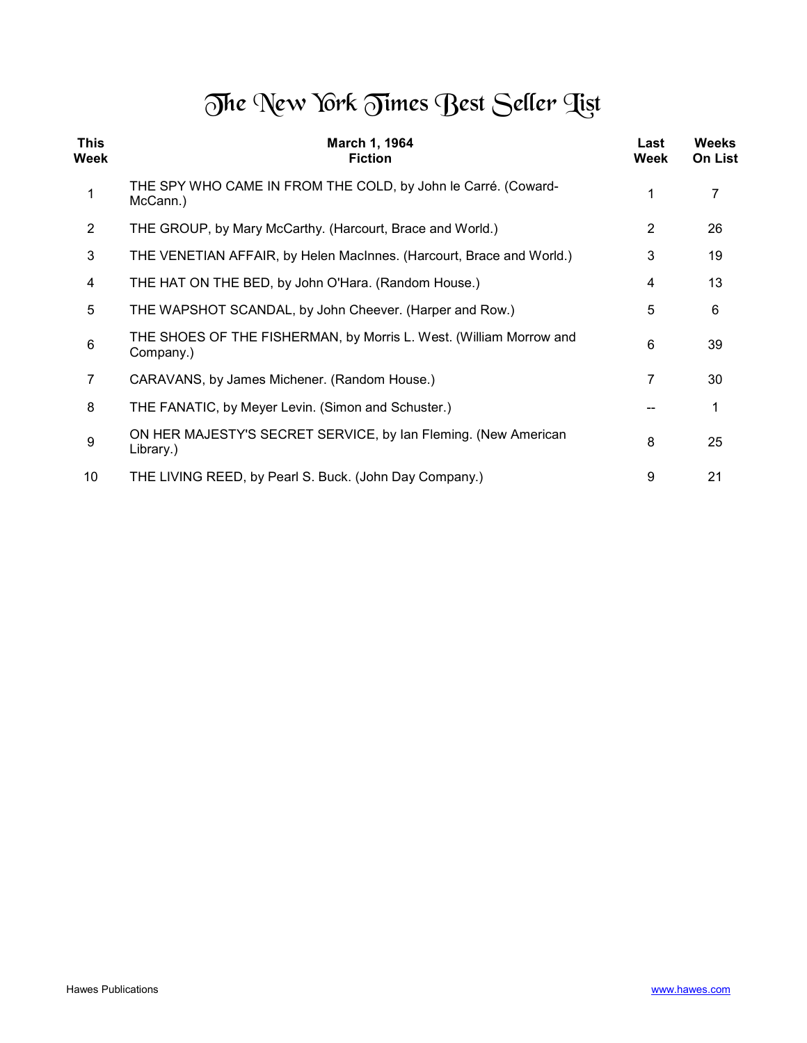## The New York Times Best Seller Tist

| <b>This</b><br>Week | March 1, 1964<br><b>Fiction</b>                                                 | Last<br>Week   | <b>Weeks</b><br>On List |
|---------------------|---------------------------------------------------------------------------------|----------------|-------------------------|
| 1                   | THE SPY WHO CAME IN FROM THE COLD, by John le Carré. (Coward-<br>McCann.)       |                | 7                       |
| 2                   | THE GROUP, by Mary McCarthy. (Harcourt, Brace and World.)                       | $\overline{2}$ | 26                      |
| 3                   | THE VENETIAN AFFAIR, by Helen MacInnes. (Harcourt, Brace and World.)            | 3              | 19                      |
| 4                   | THE HAT ON THE BED, by John O'Hara. (Random House.)                             | 4              | 13                      |
| 5                   | THE WAPSHOT SCANDAL, by John Cheever. (Harper and Row.)                         | 5              | 6                       |
| 6                   | THE SHOES OF THE FISHERMAN, by Morris L. West. (William Morrow and<br>Company.) | 6              | 39                      |
| 7                   | CARAVANS, by James Michener. (Random House.)                                    | 7              | 30                      |
| 8                   | THE FANATIC, by Meyer Levin. (Simon and Schuster.)                              |                | 1                       |
| 9                   | ON HER MAJESTY'S SECRET SERVICE, by Ian Fleming. (New American<br>Library.)     | 8              | 25                      |
| 10                  | THE LIVING REED, by Pearl S. Buck. (John Day Company.)                          | 9              | 21                      |